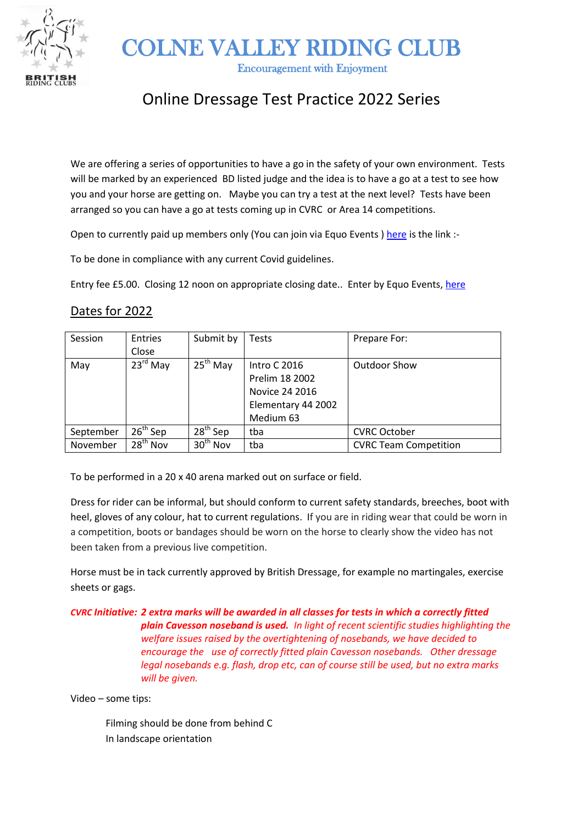

COLNE VALLEY RIDING CLUB

Encouragement with Enjoyment

## Online Dressage Test Practice 2022 Series

We are offering a series of opportunities to have a go in the safety of your own environment. Tests will be marked by an experienced BD listed judge and the idea is to have a go at a test to see how you and your horse are getting on. Maybe you can try a test at the next level? Tests have been arranged so you can have a go at tests coming up in CVRC or Area 14 competitions.

Open to currently paid up members only (You can join via Equo Events ) [here](https://www.equoevents.co.uk/Widget/EventList?organiserId=1162) is the link :-

To be done in compliance with any current Covid guidelines.

Entry fee £5.00. Closing 12 noon on appropriate closing date.. Enter by Equo Events, [here](https://www.equoevents.co.uk/Widget/EventList?organiserId=1162)

## Dates for 2022

| Session   | Entries              | Submit by            | Tests               | Prepare For:                 |
|-----------|----------------------|----------------------|---------------------|------------------------------|
|           | Close                |                      |                     |                              |
| May       | $23^{\text{rd}}$ May | 25 <sup>th</sup> May | <b>Intro C 2016</b> | <b>Outdoor Show</b>          |
|           |                      |                      | Prelim 18 2002      |                              |
|           |                      |                      | Novice 24 2016      |                              |
|           |                      |                      | Elementary 44 2002  |                              |
|           |                      |                      | Medium 63           |                              |
| September | $26th$ Sep           | $28th$ Sep           | tba                 | <b>CVRC October</b>          |
| November  | 28 <sup>th</sup> Nov | $30th$ Nov           | tba                 | <b>CVRC Team Competition</b> |

To be performed in a 20 x 40 arena marked out on surface or field.

Dress for rider can be informal, but should conform to current safety standards, breeches, boot with heel, gloves of any colour, hat to current regulations. If you are in riding wear that could be worn in a competition, boots or bandages should be worn on the horse to clearly show the video has not been taken from a previous live competition.

Horse must be in tack currently approved by British Dressage, for example no martingales, exercise sheets or gags.

*CVRC Initiative: 2 extra marks will be awarded in all classes for tests in which a correctly fitted plain Cavesson noseband is used. In light of recent scientific studies highlighting the welfare issues raised by the overtightening of nosebands, we have decided to encourage the use of correctly fitted plain Cavesson nosebands. Other dressage legal nosebands e.g. flash, drop etc, can of course still be used, but no extra marks will be given.*

Video – some tips:

Filming should be done from behind C In landscape orientation